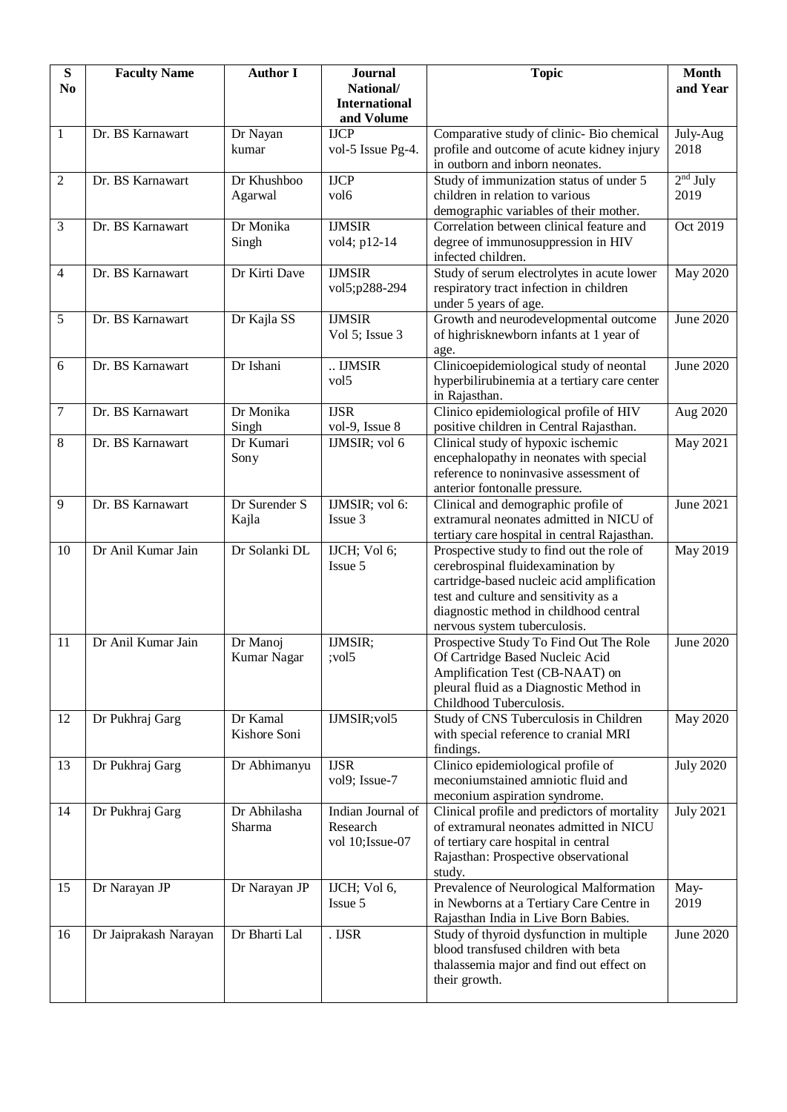| ${\bf S}$      | <b>Faculty Name</b>   | <b>Author I</b> | <b>Journal</b>                    | <b>Topic</b>                                                                        | <b>Month</b>     |
|----------------|-----------------------|-----------------|-----------------------------------|-------------------------------------------------------------------------------------|------------------|
| N <sub>0</sub> |                       |                 | National/<br><b>International</b> |                                                                                     | and Year         |
|                |                       |                 | and Volume                        |                                                                                     |                  |
| $\mathbf{1}$   | Dr. BS Karnawart      | Dr Nayan        | <b>IJCP</b>                       | Comparative study of clinic- Bio chemical                                           | July-Aug         |
|                |                       | kumar           | vol-5 Issue Pg-4.                 | profile and outcome of acute kidney injury                                          | 2018             |
|                |                       |                 |                                   | in outborn and inborn neonates.                                                     |                  |
| $\overline{2}$ | Dr. BS Karnawart      | Dr Khushboo     | <b>IJCP</b>                       | Study of immunization status of under 5                                             | $2nd$ July       |
|                |                       | Agarwal         | vol <sub>6</sub>                  | children in relation to various                                                     | 2019             |
| 3              | Dr. BS Karnawart      | Dr Monika       | <b>IJMSIR</b>                     | demographic variables of their mother.<br>Correlation between clinical feature and  | Oct 2019         |
|                |                       | Singh           | vol4; p12-14                      | degree of immunosuppression in HIV                                                  |                  |
|                |                       |                 |                                   | infected children.                                                                  |                  |
| $\overline{4}$ | Dr. BS Karnawart      | Dr Kirti Dave   | <b>IJMSIR</b>                     | Study of serum electrolytes in acute lower                                          | <b>May 2020</b>  |
|                |                       |                 | vol5;p288-294                     | respiratory tract infection in children                                             |                  |
|                |                       |                 |                                   | under 5 years of age.                                                               |                  |
| 5              | Dr. BS Karnawart      | Dr Kajla SS     | <b>IJMSIR</b>                     | Growth and neurodevelopmental outcome                                               | June 2020        |
|                |                       |                 | Vol 5; Issue 3                    | of highrisknewborn infants at 1 year of                                             |                  |
| 6              | Dr. BS Karnawart      | Dr Ishani       | IJMSIR                            | age.<br>Clinicoepidemiological study of neontal                                     | June 2020        |
|                |                       |                 | vol <sub>5</sub>                  | hyperbilirubinemia at a tertiary care center                                        |                  |
|                |                       |                 |                                   | in Rajasthan.                                                                       |                  |
| $\tau$         | Dr. BS Karnawart      | Dr Monika       | <b>IJSR</b>                       | Clinico epidemiological profile of HIV                                              | Aug 2020         |
|                |                       | Singh           | vol-9, Issue 8                    | positive children in Central Rajasthan.                                             |                  |
| 8              | Dr. BS Karnawart      | Dr Kumari       | IJMSIR; vol 6                     | Clinical study of hypoxic ischemic                                                  | May 2021         |
|                |                       | Sony            |                                   | encephalopathy in neonates with special<br>reference to noninvasive assessment of   |                  |
|                |                       |                 |                                   | anterior fontonalle pressure.                                                       |                  |
| 9              | Dr. BS Karnawart      | Dr Surender S   | IJMSIR; vol 6:                    | Clinical and demographic profile of                                                 | June 2021        |
|                |                       | Kajla           | Issue 3                           | extramural neonates admitted in NICU of                                             |                  |
|                |                       |                 |                                   | tertiary care hospital in central Rajasthan.                                        |                  |
| 10             | Dr Anil Kumar Jain    | Dr Solanki DL   | IJCH; Vol 6;                      | Prospective study to find out the role of                                           | <b>May 2019</b>  |
|                |                       |                 | Issue 5                           | cerebrospinal fluidexamination by                                                   |                  |
|                |                       |                 |                                   | cartridge-based nucleic acid amplification<br>test and culture and sensitivity as a |                  |
|                |                       |                 |                                   | diagnostic method in childhood central                                              |                  |
|                |                       |                 |                                   | nervous system tuberculosis.                                                        |                  |
| 11             | Dr Anil Kumar Jain    | Dr Manoj        | IJMSIR;                           | Prospective Study To Find Out The Role                                              | June 2020        |
|                |                       | Kumar Nagar     | ; vol5                            | Of Cartridge Based Nucleic Acid                                                     |                  |
|                |                       |                 |                                   | Amplification Test (CB-NAAT) on                                                     |                  |
|                |                       |                 |                                   | pleural fluid as a Diagnostic Method in                                             |                  |
| 12             | Dr Pukhraj Garg       | Dr Kamal        | IJMSIR; vol5                      | Childhood Tuberculosis.<br>Study of CNS Tuberculosis in Children                    | <b>May 2020</b>  |
|                |                       | Kishore Soni    |                                   | with special reference to cranial MRI                                               |                  |
|                |                       |                 |                                   | findings.                                                                           |                  |
| 13             | Dr Pukhraj Garg       | Dr Abhimanyu    | <b>IJSR</b>                       | Clinico epidemiological profile of                                                  | <b>July 2020</b> |
|                |                       |                 | vol9; Issue-7                     | meconiumstained amniotic fluid and                                                  |                  |
|                |                       |                 |                                   | meconium aspiration syndrome.                                                       |                  |
| 14             | Dr Pukhraj Garg       | Dr Abhilasha    | Indian Journal of                 | Clinical profile and predictors of mortality                                        | <b>July 2021</b> |
|                |                       | Sharma          | Research<br>vol 10; Issue-07      | of extramural neonates admitted in NICU<br>of tertiary care hospital in central     |                  |
|                |                       |                 |                                   | Rajasthan: Prospective observational                                                |                  |
|                |                       |                 |                                   | study.                                                                              |                  |
| 15             | Dr Narayan JP         | Dr Narayan JP   | IJCH; Vol 6,                      | Prevalence of Neurological Malformation                                             | May-             |
|                |                       |                 | Issue 5                           | in Newborns at a Tertiary Care Centre in                                            | 2019             |
|                |                       |                 |                                   | Rajasthan India in Live Born Babies.                                                |                  |
| 16             | Dr Jaiprakash Narayan | Dr Bharti Lal   | . IJSR                            | Study of thyroid dysfunction in multiple                                            | June 2020        |
|                |                       |                 |                                   | blood transfused children with beta<br>thalassemia major and find out effect on     |                  |
|                |                       |                 |                                   | their growth.                                                                       |                  |
|                |                       |                 |                                   |                                                                                     |                  |